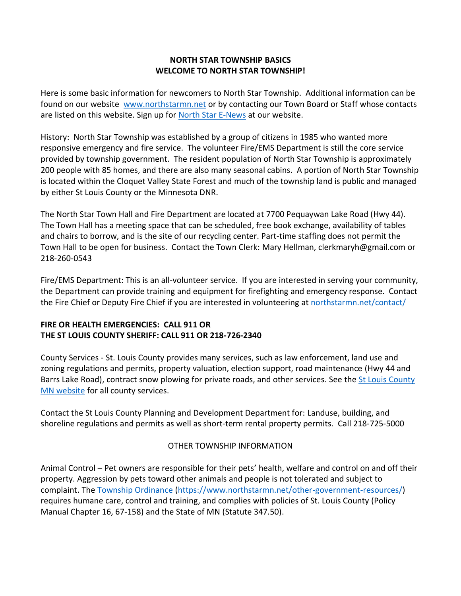## **NORTH STAR TOWNSHIP BASICS WELCOME TO NORTH STAR TOWNSHIP!**

Here is some basic information for newcomers to North Star Township. Additional information can be found on our website [www.northstarmn.net](http://www.northstarmn.net/) or by contacting our Town Board or Staff whose contacts are listed on this website. Sign up for [North Star E-News](https://docs.google.com/forms/d/1cueQnvqRe9FZ6zEgtB2-trUNApYMXeAapSG5zfeRnEA/viewform?edit_requested=true) at our website.

History: North Star Township was established by a group of citizens in 1985 who wanted more responsive emergency and fire service. The volunteer Fire/EMS Department is still the core service provided by township government. The resident population of North Star Township is approximately 200 people with 85 homes, and there are also many seasonal cabins. A portion of North Star Township is located within the Cloquet Valley State Forest and much of the township land is public and managed by either St Louis County or the Minnesota DNR.

The North Star Town Hall and Fire Department are located at 7700 Pequaywan Lake Road (Hwy 44). The Town Hall has a meeting space that can be scheduled, free book exchange, availability of tables and chairs to borrow, and is the site of our recycling center. Part-time staffing does not permit the Town Hall to be open for business. Contact the Town Clerk: Mary Hellman, clerkmaryh@gmail.com or 218-260-0543

Fire/EMS Department: This is an all-volunteer service. If you are interested in serving your community, the Department can provide training and equipment for firefighting and emergency response. Contact the Fire Chief or Deputy Fire Chief if you are interested in volunteering a[t northstarmn.net/contact/](http://northstarmn.net/contact/)

## **FIRE OR HEALTH EMERGENCIES: CALL 911 OR THE ST LOUIS COUNTY SHERIFF: CALL 911 OR 218-726-2340**

County Services - St. Louis County provides many services, such as law enforcement, land use and zoning regulations and permits, property valuation, election support, road maintenance (Hwy 44 and Barrs Lake Road), contract snow plowing for private roads, and other services. See the St Louis County [MN website](https://www.stlouiscountymn.gov/) for all county services.

Contact the St Louis County Planning and Development Department for: Landuse, building, and shoreline regulations and permits as well as short-term rental property permits. Call 218-725-5000

## OTHER TOWNSHIP INFORMATION

Animal Control – Pet owners are responsible for their pets' health, welfare and control on and off their property. Aggression by pets toward other animals and people is not tolerated and subject to complaint. The [Township Ordinance](Township%20Ordinance) [\(https://www.northstarmn.net/other-government-resources/\)](https://www.northstarmn.net/other-government-resources/) requires humane care, control and training, and complies with policies of St. Louis County (Policy Manual Chapter 16, 67-158) and the State of MN (Statute 347.50).